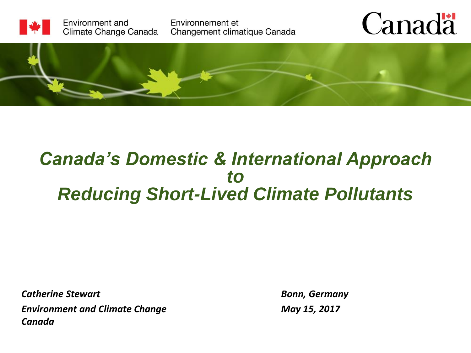

#### *Canada's Domestic & International Approach to Reducing Short-Lived Climate Pollutants*

*Catherine Stewart Environment and Climate Change Canada*

*Bonn, Germany May 15, 2017*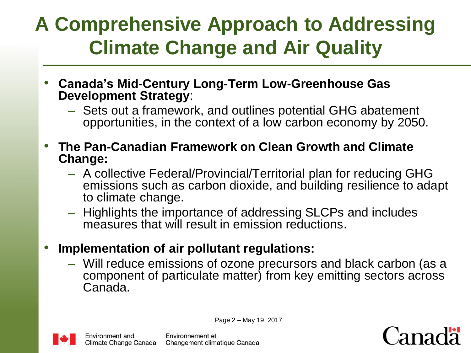### **A Comprehensive Approach to Addressing Climate Change and Air Quality**

- **Canada's Mid-Century Long-Term Low-Greenhouse Gas Development Strategy**:
	- Sets out a framework, and outlines potential GHG abatement opportunities, in the context of a low carbon economy by 2050.
- **The Pan-Canadian Framework on Clean Growth and Climate Change:** 
	- A collective Federal/Provincial/Territorial plan for reducing GHG emissions such as carbon dioxide, and building resilience to adapt to climate change.
	- Highlights the importance of addressing SLCPs and includes measures that will result in emission reductions.
- **Implementation of air pollutant regulations:**
	- Will reduce emissions of ozone precursors and black carbon (as a component of particulate matter) from key emitting sectors across Canada.



Environment and Climate Change Canada Page 2 – May 19, 2017

Environnement et Changement climatique Canada

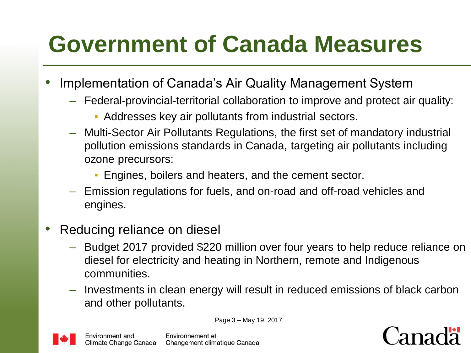# **Government of Canada Measures**

- Implementation of Canada's Air Quality Management System
	- Federal-provincial-territorial collaboration to improve and protect air quality:
		- Addresses key air pollutants from industrial sectors.
	- Multi-Sector Air Pollutants Regulations, the first set of mandatory industrial pollution emissions standards in Canada, targeting air pollutants including ozone precursors:
		- Engines, boilers and heaters, and the cement sector.
	- Emission regulations for fuels, and on-road and off-road vehicles and engines.
- Reducing reliance on diesel
	- Budget 2017 provided \$220 million over four years to help reduce reliance on diesel for electricity and heating in Northern, remote and Indigenous communities.
	- Investments in clean energy will result in reduced emissions of black carbon and other pollutants.

Page 3 – May 19, 2017



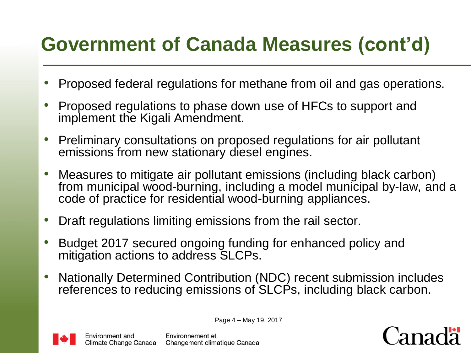#### **Government of Canada Measures (cont'd)**

- Proposed federal regulations for methane from oil and gas operations.
- Proposed regulations to phase down use of HFCs to support and implement the Kigali Amendment.
- Preliminary consultations on proposed regulations for air pollutant emissions from new stationary diesel engines.
- Measures to mitigate air pollutant emissions (including black carbon) from municipal wood-burning, including a model municipal by-law, and a code of practice for residential wood-burning appliances.
- Draft regulations limiting emissions from the rail sector.
- Budget 2017 secured ongoing funding for enhanced policy and mitigation actions to address SLCPs.
- Nationally Determined Contribution (NDC) recent submission includes references to reducing emissions of SLCPs, including black carbon.



Page 4 – May 19, 2017

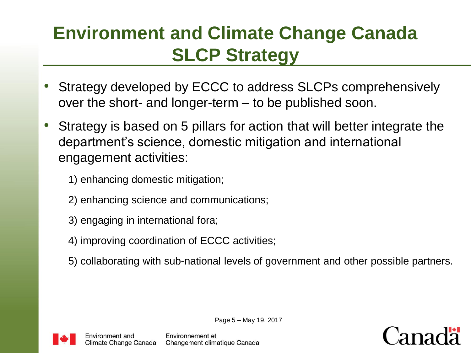#### **Environment and Climate Change Canada SLCP Strategy**

- Strategy developed by ECCC to address SLCPs comprehensively over the short- and longer-term – to be published soon.
- Strategy is based on 5 pillars for action that will better integrate the department's science, domestic mitigation and international engagement activities:
	- 1) enhancing domestic mitigation;
	- 2) enhancing science and communications;
	- 3) engaging in international fora;
	- 4) improving coordination of ECCC activities;
	- 5) collaborating with sub-national levels of government and other possible partners.



Page 5 – May 19, 2017



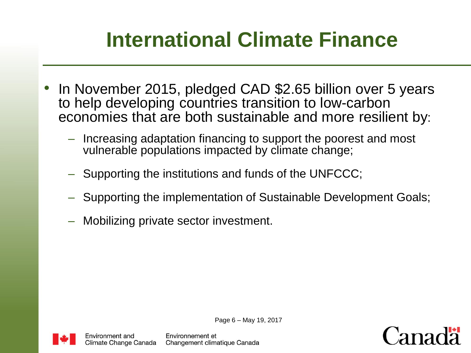### **International Climate Finance**

- In November 2015, pledged CAD \$2.65 billion over 5 years to help developing countries transition to low-carbon economies that are both sustainable and more resilient by:
	- Increasing adaptation financing to support the poorest and most vulnerable populations impacted by climate change;
	- Supporting the institutions and funds of the UNFCCC;
	- Supporting the implementation of Sustainable Development Goals;
	- Mobilizing private sector investment.



Page 6 – May 19, 2017

Environnement et Changement climatique Canada

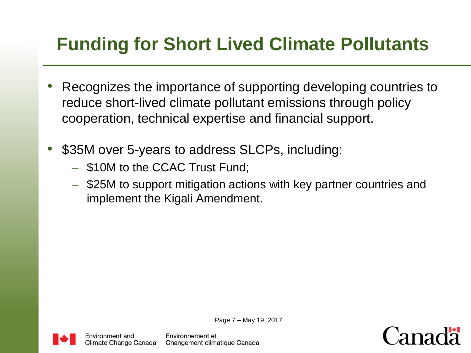#### **Funding for Short Lived Climate Pollutants**

- Recognizes the importance of supporting developing countries to reduce short-lived climate pollutant emissions through policy cooperation, technical expertise and financial support.
- \$35M over 5-years to address SLCPs, including:
	- \$10M to the CCAC Trust Fund;
	- \$25M to support mitigation actions with key partner countries and implement the Kigali Amendment.



Environment and Climate Change Canada Page 7 – May 19, 2017

Environnement et Changement climatique Canada